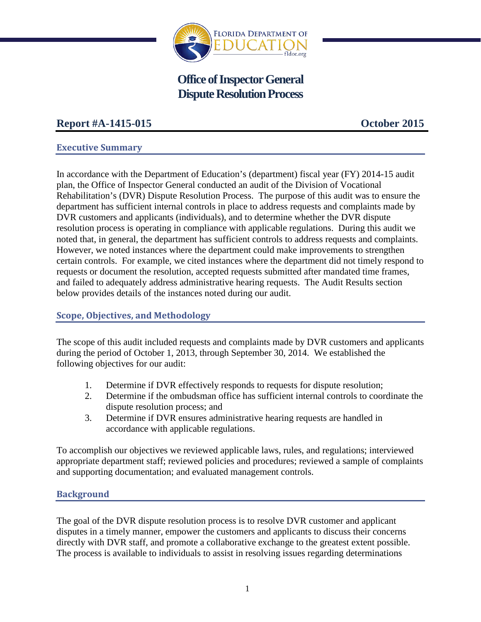

# **Office of Inspector General Dispute Resolution Process**

## **Report #A-1415-015 October 2015**

## **Executive Summary**

In accordance with the Department of Education's (department) fiscal year (FY) 2014-15 audit plan, the Office of Inspector General conducted an audit of the Division of Vocational Rehabilitation's (DVR) Dispute Resolution Process. The purpose of this audit was to ensure the department has sufficient internal controls in place to address requests and complaints made by DVR customers and applicants (individuals), and to determine whether the DVR dispute resolution process is operating in compliance with applicable regulations. During this audit we noted that, in general, the department has sufficient controls to address requests and complaints. However, we noted instances where the department could make improvements to strengthen certain controls. For example, we cited instances where the department did not timely respond to requests or document the resolution, accepted requests submitted after mandated time frames, and failed to adequately address administrative hearing requests. The Audit Results section below provides details of the instances noted during our audit.

## **Scope, Objectives, and Methodology**

The scope of this audit included requests and complaints made by DVR customers and applicants during the period of October 1, 2013, through September 30, 2014. We established the following objectives for our audit:

- 1. Determine if DVR effectively responds to requests for dispute resolution;
- 2. Determine if the ombudsman office has sufficient internal controls to coordinate the dispute resolution process; and
- 3. Determine if DVR ensures administrative hearing requests are handled in accordance with applicable regulations.

To accomplish our objectives we reviewed applicable laws, rules, and regulations; interviewed appropriate department staff; reviewed policies and procedures; reviewed a sample of complaints and supporting documentation; and evaluated management controls.

## **Background**

The goal of the DVR dispute resolution process is to resolve DVR customer and applicant disputes in a timely manner, empower the customers and applicants to discuss their concerns directly with DVR staff, and promote a collaborative exchange to the greatest extent possible. The process is available to individuals to assist in resolving issues regarding determinations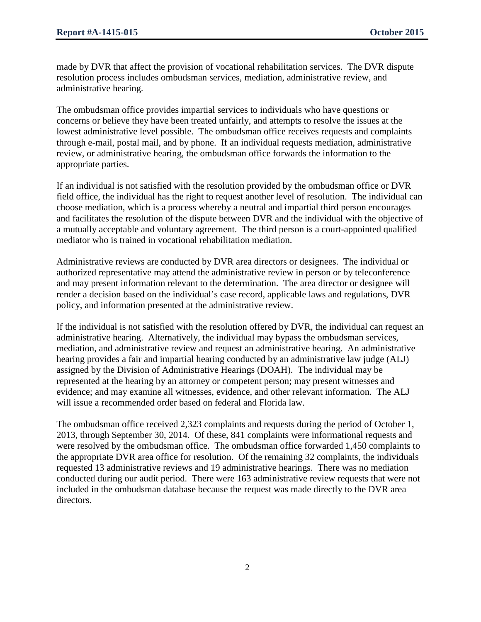made by DVR that affect the provision of vocational rehabilitation services. The DVR dispute resolution process includes ombudsman services, mediation, administrative review, and administrative hearing.

The ombudsman office provides impartial services to individuals who have questions or concerns or believe they have been treated unfairly, and attempts to resolve the issues at the lowest administrative level possible. The ombudsman office receives requests and complaints through e-mail, postal mail, and by phone. If an individual requests mediation, administrative review, or administrative hearing, the ombudsman office forwards the information to the appropriate parties.

If an individual is not satisfied with the resolution provided by the ombudsman office or DVR field office, the individual has the right to request another level of resolution. The individual can choose mediation, which is a process whereby a neutral and impartial third person encourages and facilitates the resolution of the dispute between DVR and the individual with the objective of a mutually acceptable and voluntary agreement. The third person is a court-appointed qualified mediator who is trained in vocational rehabilitation mediation.

Administrative reviews are conducted by DVR area directors or designees. The individual or authorized representative may attend the administrative review in person or by teleconference and may present information relevant to the determination. The area director or designee will render a decision based on the individual's case record, applicable laws and regulations, DVR policy, and information presented at the administrative review.

If the individual is not satisfied with the resolution offered by DVR, the individual can request an administrative hearing. Alternatively, the individual may bypass the ombudsman services, mediation, and administrative review and request an administrative hearing. An administrative hearing provides a fair and impartial hearing conducted by an administrative law judge (ALJ) assigned by the Division of Administrative Hearings (DOAH). The individual may be represented at the hearing by an attorney or competent person; may present witnesses and evidence; and may examine all witnesses, evidence, and other relevant information. The ALJ will issue a recommended order based on federal and Florida law.

The ombudsman office received 2,323 complaints and requests during the period of October 1, 2013, through September 30, 2014. Of these, 841 complaints were informational requests and were resolved by the ombudsman office. The ombudsman office forwarded 1,450 complaints to the appropriate DVR area office for resolution. Of the remaining 32 complaints, the individuals requested 13 administrative reviews and 19 administrative hearings. There was no mediation conducted during our audit period. There were 163 administrative review requests that were not included in the ombudsman database because the request was made directly to the DVR area directors.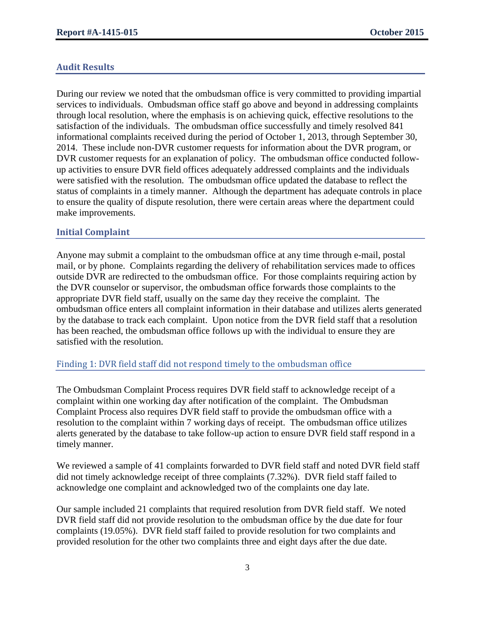## **Audit Results**

During our review we noted that the ombudsman office is very committed to providing impartial services to individuals. Ombudsman office staff go above and beyond in addressing complaints through local resolution, where the emphasis is on achieving quick, effective resolutions to the satisfaction of the individuals. The ombudsman office successfully and timely resolved 841 informational complaints received during the period of October 1, 2013, through September 30, 2014. These include non-DVR customer requests for information about the DVR program, or DVR customer requests for an explanation of policy. The ombudsman office conducted followup activities to ensure DVR field offices adequately addressed complaints and the individuals were satisfied with the resolution. The ombudsman office updated the database to reflect the status of complaints in a timely manner. Although the department has adequate controls in place to ensure the quality of dispute resolution, there were certain areas where the department could make improvements.

#### **Initial Complaint**

Anyone may submit a complaint to the ombudsman office at any time through e-mail, postal mail, or by phone. Complaints regarding the delivery of rehabilitation services made to offices outside DVR are redirected to the ombudsman office. For those complaints requiring action by the DVR counselor or supervisor, the ombudsman office forwards those complaints to the appropriate DVR field staff, usually on the same day they receive the complaint. The ombudsman office enters all complaint information in their database and utilizes alerts generated by the database to track each complaint. Upon notice from the DVR field staff that a resolution has been reached, the ombudsman office follows up with the individual to ensure they are satisfied with the resolution.

#### Finding 1: DVR field staff did not respond timely to the ombudsman office

The Ombudsman Complaint Process requires DVR field staff to acknowledge receipt of a complaint within one working day after notification of the complaint. The Ombudsman Complaint Process also requires DVR field staff to provide the ombudsman office with a resolution to the complaint within 7 working days of receipt. The ombudsman office utilizes alerts generated by the database to take follow-up action to ensure DVR field staff respond in a timely manner.

We reviewed a sample of 41 complaints forwarded to DVR field staff and noted DVR field staff did not timely acknowledge receipt of three complaints (7.32%). DVR field staff failed to acknowledge one complaint and acknowledged two of the complaints one day late.

Our sample included 21 complaints that required resolution from DVR field staff. We noted DVR field staff did not provide resolution to the ombudsman office by the due date for four complaints (19.05%). DVR field staff failed to provide resolution for two complaints and provided resolution for the other two complaints three and eight days after the due date.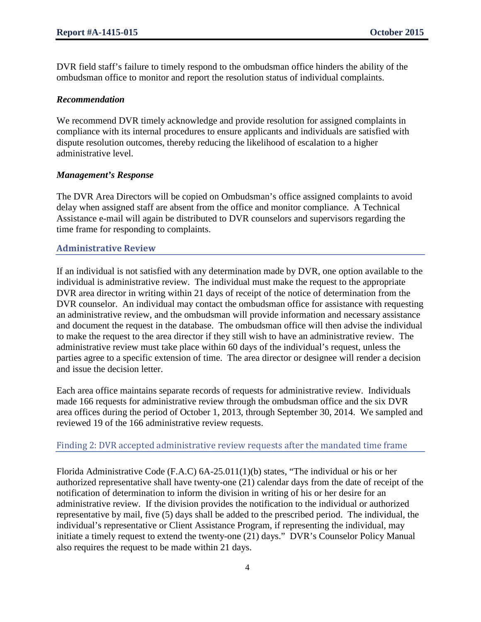DVR field staff's failure to timely respond to the ombudsman office hinders the ability of the ombudsman office to monitor and report the resolution status of individual complaints.

#### *Recommendation*

We recommend DVR timely acknowledge and provide resolution for assigned complaints in compliance with its internal procedures to ensure applicants and individuals are satisfied with dispute resolution outcomes, thereby reducing the likelihood of escalation to a higher administrative level.

#### *Management's Response*

The DVR Area Directors will be copied on Ombudsman's office assigned complaints to avoid delay when assigned staff are absent from the office and monitor compliance.A Technical Assistance e-mail will again be distributed to DVR counselors and supervisors regarding the time frame for responding to complaints.

#### **Administrative Review**

If an individual is not satisfied with any determination made by DVR, one option available to the individual is administrative review. The individual must make the request to the appropriate DVR area director in writing within 21 days of receipt of the notice of determination from the DVR counselor. An individual may contact the ombudsman office for assistance with requesting an administrative review, and the ombudsman will provide information and necessary assistance and document the request in the database. The ombudsman office will then advise the individual to make the request to the area director if they still wish to have an administrative review. The administrative review must take place within 60 days of the individual's request, unless the parties agree to a specific extension of time. The area director or designee will render a decision and issue the decision letter.

Each area office maintains separate records of requests for administrative review. Individuals made 166 requests for administrative review through the ombudsman office and the six DVR area offices during the period of October 1, 2013, through September 30, 2014. We sampled and reviewed 19 of the 166 administrative review requests.

Finding 2: DVR accepted administrative review requests after the mandated time frame

Florida Administrative Code (F.A.C) 6A-25.011(1)(b) states, "The individual or his or her authorized representative shall have twenty-one (21) calendar days from the date of receipt of the notification of determination to inform the division in writing of his or her desire for an administrative review. If the division provides the notification to the individual or authorized representative by mail, five (5) days shall be added to the prescribed period. The individual, the individual's representative or Client Assistance Program, if representing the individual, may initiate a timely request to extend the twenty-one (21) days." DVR's Counselor Policy Manual also requires the request to be made within 21 days.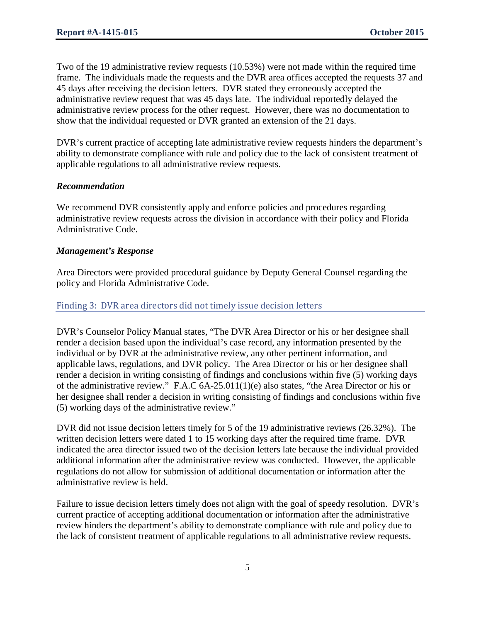Two of the 19 administrative review requests (10.53%) were not made within the required time frame. The individuals made the requests and the DVR area offices accepted the requests 37 and 45 days after receiving the decision letters. DVR stated they erroneously accepted the administrative review request that was 45 days late. The individual reportedly delayed the administrative review process for the other request. However, there was no documentation to show that the individual requested or DVR granted an extension of the 21 days.

DVR's current practice of accepting late administrative review requests hinders the department's ability to demonstrate compliance with rule and policy due to the lack of consistent treatment of applicable regulations to all administrative review requests.

#### *Recommendation*

We recommend DVR consistently apply and enforce policies and procedures regarding administrative review requests across the division in accordance with their policy and Florida Administrative Code.

#### *Management's Response*

Area Directors were provided procedural guidance by Deputy General Counsel regarding the policy and Florida Administrative Code.

#### Finding 3: DVR area directors did not timely issue decision letters

DVR's Counselor Policy Manual states, "The DVR Area Director or his or her designee shall render a decision based upon the individual's case record, any information presented by the individual or by DVR at the administrative review, any other pertinent information, and applicable laws, regulations, and DVR policy. The Area Director or his or her designee shall render a decision in writing consisting of findings and conclusions within five (5) working days of the administrative review." F.A.C 6A-25.011(1)(e) also states, "the Area Director or his or her designee shall render a decision in writing consisting of findings and conclusions within five (5) working days of the administrative review."

DVR did not issue decision letters timely for 5 of the 19 administrative reviews (26.32%). The written decision letters were dated 1 to 15 working days after the required time frame. DVR indicated the area director issued two of the decision letters late because the individual provided additional information after the administrative review was conducted. However, the applicable regulations do not allow for submission of additional documentation or information after the administrative review is held.

Failure to issue decision letters timely does not align with the goal of speedy resolution. DVR's current practice of accepting additional documentation or information after the administrative review hinders the department's ability to demonstrate compliance with rule and policy due to the lack of consistent treatment of applicable regulations to all administrative review requests.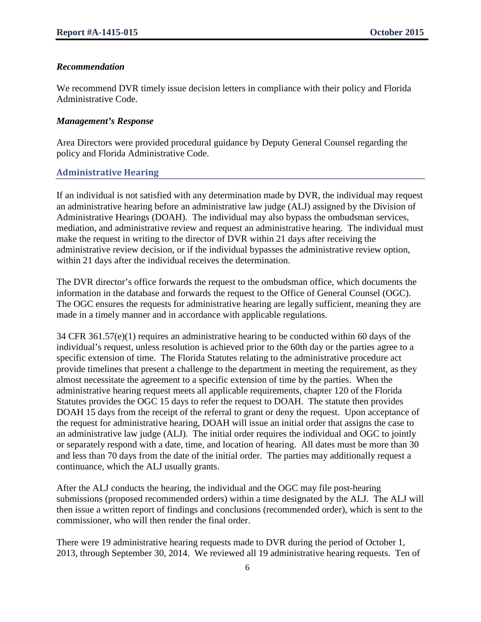#### *Recommendation*

We recommend DVR timely issue decision letters in compliance with their policy and Florida Administrative Code.

#### *Management's Response*

Area Directors were provided procedural guidance by Deputy General Counsel regarding the policy and Florida Administrative Code.

#### **Administrative Hearing**

If an individual is not satisfied with any determination made by DVR, the individual may request an administrative hearing before an administrative law judge (ALJ) assigned by the Division of Administrative Hearings (DOAH). The individual may also bypass the ombudsman services, mediation, and administrative review and request an administrative hearing. The individual must make the request in writing to the director of DVR within 21 days after receiving the administrative review decision, or if the individual bypasses the administrative review option, within 21 days after the individual receives the determination.

The DVR director's office forwards the request to the ombudsman office, which documents the information in the database and forwards the request to the Office of General Counsel (OGC). The OGC ensures the requests for administrative hearing are legally sufficient, meaning they are made in a timely manner and in accordance with applicable regulations.

34 CFR 361.57(e)(1) requires an administrative hearing to be conducted within 60 days of the individual's request, unless resolution is achieved prior to the 60th day or the parties agree to a specific extension of time. The Florida Statutes relating to the administrative procedure act provide timelines that present a challenge to the department in meeting the requirement, as they almost necessitate the agreement to a specific extension of time by the parties. When the administrative hearing request meets all applicable requirements, chapter 120 of the Florida Statutes provides the OGC 15 days to refer the request to DOAH. The statute then provides DOAH 15 days from the receipt of the referral to grant or deny the request. Upon acceptance of the request for administrative hearing, DOAH will issue an initial order that assigns the case to an administrative law judge (ALJ). The initial order requires the individual and OGC to jointly or separately respond with a date, time, and location of hearing. All dates must be more than 30 and less than 70 days from the date of the initial order. The parties may additionally request a continuance, which the ALJ usually grants.

After the ALJ conducts the hearing, the individual and the OGC may file post-hearing submissions (proposed recommended orders) within a time designated by the ALJ. The ALJ will then issue a written report of findings and conclusions (recommended order), which is sent to the commissioner, who will then render the final order.

There were 19 administrative hearing requests made to DVR during the period of October 1, 2013, through September 30, 2014. We reviewed all 19 administrative hearing requests. Ten of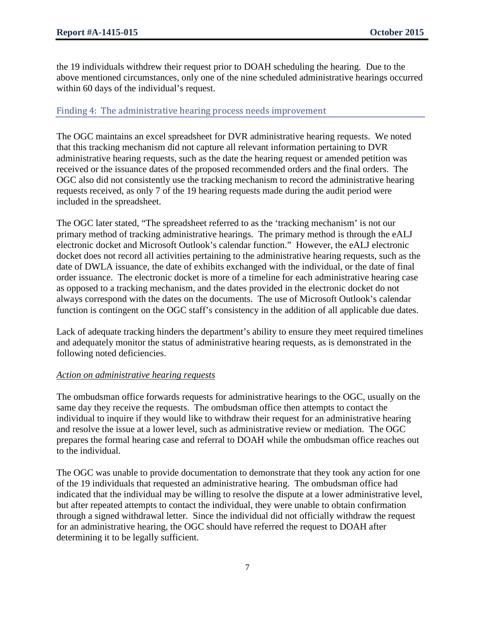the 19 individuals withdrew their request prior to DOAH scheduling the hearing. Due to the above mentioned circumstances, only one of the nine scheduled administrative hearings occurred within 60 days of the individual's request.

#### Finding 4: The administrative hearing process needs improvement

The OGC maintains an excel spreadsheet for DVR administrative hearing requests. We noted that this tracking mechanism did not capture all relevant information pertaining to DVR administrative hearing requests, such as the date the hearing request or amended petition was received or the issuance dates of the proposed recommended orders and the final orders. The OGC also did not consistently use the tracking mechanism to record the administrative hearing requests received, as only 7 of the 19 hearing requests made during the audit period were included in the spreadsheet.

The OGC later stated, "The spreadsheet referred to as the 'tracking mechanism' is not our primary method of tracking administrative hearings. The primary method is through the eALJ electronic docket and Microsoft Outlook's calendar function." However, the eALJ electronic docket does not record all activities pertaining to the administrative hearing requests, such as the date of DWLA issuance, the date of exhibits exchanged with the individual, or the date of final order issuance. The electronic docket is more of a timeline for each administrative hearing case as opposed to a tracking mechanism, and the dates provided in the electronic docket do not always correspond with the dates on the documents. The use of Microsoft Outlook's calendar function is contingent on the OGC staff's consistency in the addition of all applicable due dates.

Lack of adequate tracking hinders the department's ability to ensure they meet required timelines and adequately monitor the status of administrative hearing requests, as is demonstrated in the following noted deficiencies.

#### *Action on administrative hearing requests*

The ombudsman office forwards requests for administrative hearings to the OGC, usually on the same day they receive the requests. The ombudsman office then attempts to contact the individual to inquire if they would like to withdraw their request for an administrative hearing and resolve the issue at a lower level, such as administrative review or mediation. The OGC prepares the formal hearing case and referral to DOAH while the ombudsman office reaches out to the individual.

The OGC was unable to provide documentation to demonstrate that they took any action for one of the 19 individuals that requested an administrative hearing. The ombudsman office had indicated that the individual may be willing to resolve the dispute at a lower administrative level, but after repeated attempts to contact the individual, they were unable to obtain confirmation through a signed withdrawal letter. Since the individual did not officially withdraw the request for an administrative hearing, the OGC should have referred the request to DOAH after determining it to be legally sufficient.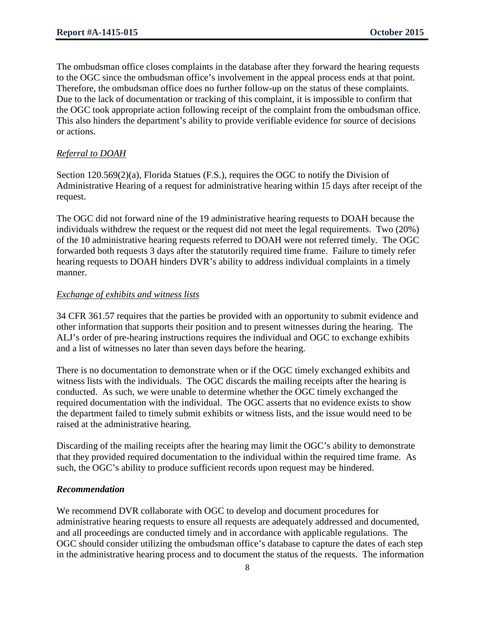The ombudsman office closes complaints in the database after they forward the hearing requests to the OGC since the ombudsman office's involvement in the appeal process ends at that point. Therefore, the ombudsman office does no further follow-up on the status of these complaints. Due to the lack of documentation or tracking of this complaint, it is impossible to confirm that the OGC took appropriate action following receipt of the complaint from the ombudsman office. This also hinders the department's ability to provide verifiable evidence for source of decisions or actions.

#### *Referral to DOAH*

Section 120.569(2)(a), Florida Statues (F.S.), requires the OGC to notify the Division of Administrative Hearing of a request for administrative hearing within 15 days after receipt of the request.

The OGC did not forward nine of the 19 administrative hearing requests to DOAH because the individuals withdrew the request or the request did not meet the legal requirements. Two (20%) of the 10 administrative hearing requests referred to DOAH were not referred timely. The OGC forwarded both requests 3 days after the statutorily required time frame. Failure to timely refer hearing requests to DOAH hinders DVR's ability to address individual complaints in a timely manner.

#### *Exchange of exhibits and witness lists*

34 CFR 361.57 requires that the parties be provided with an opportunity to submit evidence and other information that supports their position and to present witnesses during the hearing. The ALJ's order of pre-hearing instructions requires the individual and OGC to exchange exhibits and a list of witnesses no later than seven days before the hearing.

There is no documentation to demonstrate when or if the OGC timely exchanged exhibits and witness lists with the individuals. The OGC discards the mailing receipts after the hearing is conducted. As such, we were unable to determine whether the OGC timely exchanged the required documentation with the individual. The OGC asserts that no evidence exists to show the department failed to timely submit exhibits or witness lists, and the issue would need to be raised at the administrative hearing.

Discarding of the mailing receipts after the hearing may limit the OGC's ability to demonstrate that they provided required documentation to the individual within the required time frame. As such, the OGC's ability to produce sufficient records upon request may be hindered.

#### *Recommendation*

We recommend DVR collaborate with OGC to develop and document procedures for administrative hearing requests to ensure all requests are adequately addressed and documented, and all proceedings are conducted timely and in accordance with applicable regulations. The OGC should consider utilizing the ombudsman office's database to capture the dates of each step in the administrative hearing process and to document the status of the requests. The information